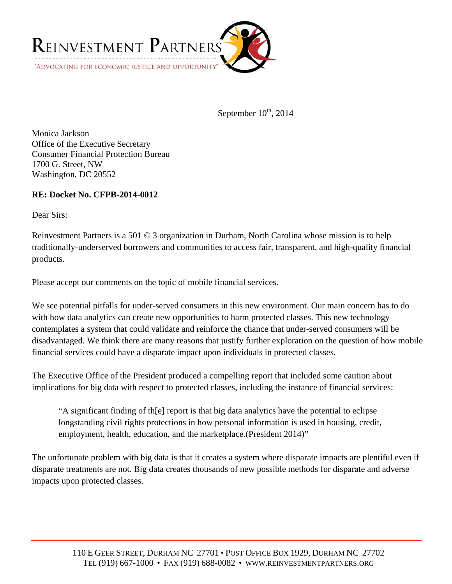

September  $10^{th}$ , 2014

Monica Jackson Office of the Executive Secretary Consumer Financial Protection Bureau 1700 G. Street, NW Washington, DC 20552

# **RE: Docket No. CFPB-2014-0012**

Dear Sirs:

Reinvestment Partners is a 501 © 3 organization in Durham, North Carolina whose mission is to help traditionally-underserved borrowers and communities to access fair, transparent, and high-quality financial products.

Please accept our comments on the topic of mobile financial services.

We see potential pitfalls for under-served consumers in this new environment. Our main concern has to do with how data analytics can create new opportunities to harm protected classes. This new technology contemplates a system that could validate and reinforce the chance that under-served consumers will be disadvantaged. We think there are many reasons that justify further exploration on the question of how mobile financial services could have a disparate impact upon individuals in protected classes.

The Executive Office of the President produced a compelling report that included some caution about implications for big data with respect to protected classes, including the instance of financial services:

"A significant finding of th[e] report is that big data analytics have the potential to eclipse longstanding civil rights protections in how personal information is used in housing, credit, employment, health, education, and the marketplace.(President 2014)"

The unfortunate problem with big data is that it creates a system where disparate impacts are plentiful even if disparate treatments are not. Big data creates thousands of new possible methods for disparate and adverse impacts upon protected classes.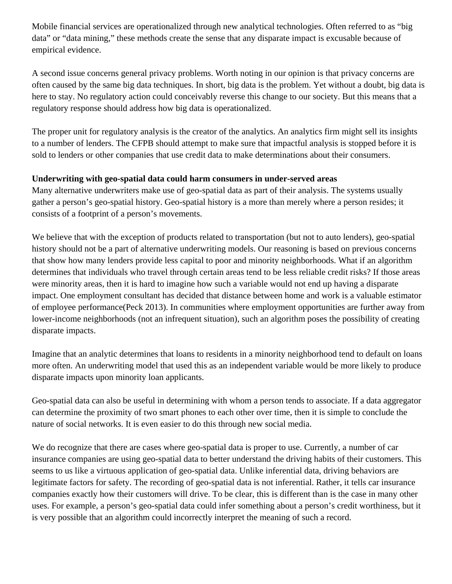Mobile financial services are operationalized through new analytical technologies. Often referred to as "big data" or "data mining," these methods create the sense that any disparate impact is excusable because of empirical evidence.

A second issue concerns general privacy problems. Worth noting in our opinion is that privacy concerns are often caused by the same big data techniques. In short, big data is the problem. Yet without a doubt, big data is here to stay. No regulatory action could conceivably reverse this change to our society. But this means that a regulatory response should address how big data is operationalized.

The proper unit for regulatory analysis is the creator of the analytics. An analytics firm might sell its insights to a number of lenders. The CFPB should attempt to make sure that impactful analysis is stopped before it is sold to lenders or other companies that use credit data to make determinations about their consumers.

# **Underwriting with geo-spatial data could harm consumers in under-served areas**

Many alternative underwriters make use of geo-spatial data as part of their analysis. The systems usually gather a person's geo-spatial history. Geo-spatial history is a more than merely where a person resides; it consists of a footprint of a person's movements.

We believe that with the exception of products related to transportation (but not to auto lenders), geo-spatial history should not be a part of alternative underwriting models. Our reasoning is based on previous concerns that show how many lenders provide less capital to poor and minority neighborhoods. What if an algorithm determines that individuals who travel through certain areas tend to be less reliable credit risks? If those areas were minority areas, then it is hard to imagine how such a variable would not end up having a disparate impact. One employment consultant has decided that distance between home and work is a valuable estimator of employee performance(Peck 2013). In communities where employment opportunities are further away from lower-income neighborhoods (not an infrequent situation), such an algorithm poses the possibility of creating disparate impacts.

Imagine that an analytic determines that loans to residents in a minority neighborhood tend to default on loans more often. An underwriting model that used this as an independent variable would be more likely to produce disparate impacts upon minority loan applicants.

Geo-spatial data can also be useful in determining with whom a person tends to associate. If a data aggregator can determine the proximity of two smart phones to each other over time, then it is simple to conclude the nature of social networks. It is even easier to do this through new social media.

We do recognize that there are cases where geo-spatial data is proper to use. Currently, a number of car insurance companies are using geo-spatial data to better understand the driving habits of their customers. This seems to us like a virtuous application of geo-spatial data. Unlike inferential data, driving behaviors are legitimate factors for safety. The recording of geo-spatial data is not inferential. Rather, it tells car insurance companies exactly how their customers will drive. To be clear, this is different than is the case in many other uses. For example, a person's geo-spatial data could infer something about a person's credit worthiness, but it is very possible that an algorithm could incorrectly interpret the meaning of such a record.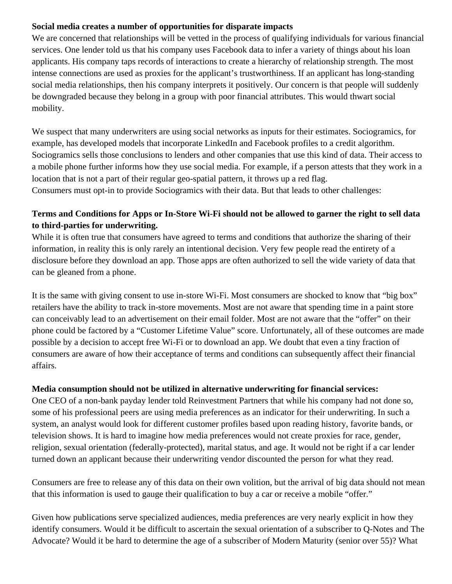# **Social media creates a number of opportunities for disparate impacts**

We are concerned that relationships will be vetted in the process of qualifying individuals for various financial services. One lender told us that his company uses Facebook data to infer a variety of things about his loan applicants. His company taps records of interactions to create a hierarchy of relationship strength. The most intense connections are used as proxies for the applicant's trustworthiness. If an applicant has long-standing social media relationships, then his company interprets it positively. Our concern is that people will suddenly be downgraded because they belong in a group with poor financial attributes. This would thwart social mobility.

We suspect that many underwriters are using social networks as inputs for their estimates. Sociogramics, for example, has developed models that incorporate LinkedIn and Facebook profiles to a credit algorithm. Sociogramics sells those conclusions to lenders and other companies that use this kind of data. Their access to a mobile phone further informs how they use social media. For example, if a person attests that they work in a location that is not a part of their regular geo-spatial pattern, it throws up a red flag.

Consumers must opt-in to provide Sociogramics with their data. But that leads to other challenges:

# **Terms and Conditions for Apps or In-Store Wi-Fi should not be allowed to garner the right to sell data to third-parties for underwriting.**

While it is often true that consumers have agreed to terms and conditions that authorize the sharing of their information, in reality this is only rarely an intentional decision. Very few people read the entirety of a disclosure before they download an app. Those apps are often authorized to sell the wide variety of data that can be gleaned from a phone.

It is the same with giving consent to use in-store Wi-Fi. Most consumers are shocked to know that "big box" retailers have the ability to track in-store movements. Most are not aware that spending time in a paint store can conceivably lead to an advertisement on their email folder. Most are not aware that the "offer" on their phone could be factored by a "Customer Lifetime Value" score. Unfortunately, all of these outcomes are made possible by a decision to accept free Wi-Fi or to download an app. We doubt that even a tiny fraction of consumers are aware of how their acceptance of terms and conditions can subsequently affect their financial affairs.

# **Media consumption should not be utilized in alternative underwriting for financial services:**

One CEO of a non-bank payday lender told Reinvestment Partners that while his company had not done so, some of his professional peers are using media preferences as an indicator for their underwriting. In such a system, an analyst would look for different customer profiles based upon reading history, favorite bands, or television shows. It is hard to imagine how media preferences would not create proxies for race, gender, religion, sexual orientation (federally-protected), marital status, and age. It would not be right if a car lender turned down an applicant because their underwriting vendor discounted the person for what they read.

Consumers are free to release any of this data on their own volition, but the arrival of big data should not mean that this information is used to gauge their qualification to buy a car or receive a mobile "offer."

Given how publications serve specialized audiences, media preferences are very nearly explicit in how they identify consumers. Would it be difficult to ascertain the sexual orientation of a subscriber to Q-Notes and The Advocate? Would it be hard to determine the age of a subscriber of Modern Maturity (senior over 55)? What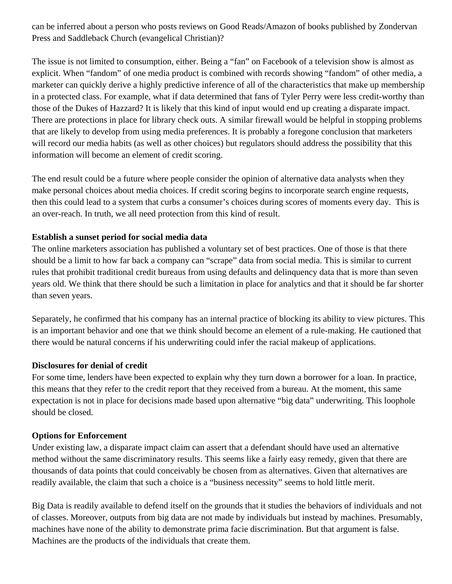can be inferred about a person who posts reviews on Good Reads/Amazon of books published by Zondervan Press and Saddleback Church (evangelical Christian)?

The issue is not limited to consumption, either. Being a "fan" on Facebook of a television show is almost as explicit. When "fandom" of one media product is combined with records showing "fandom" of other media, a marketer can quickly derive a highly predictive inference of all of the characteristics that make up membership in a protected class. For example, what if data determined that fans of Tyler Perry were less credit-worthy than those of the Dukes of Hazzard? It is likely that this kind of input would end up creating a disparate impact. There are protections in place for library check outs. A similar firewall would be helpful in stopping problems that are likely to develop from using media preferences. It is probably a foregone conclusion that marketers will record our media habits (as well as other choices) but regulators should address the possibility that this information will become an element of credit scoring.

The end result could be a future where people consider the opinion of alternative data analysts when they make personal choices about media choices. If credit scoring begins to incorporate search engine requests, then this could lead to a system that curbs a consumer's choices during scores of moments every day. This is an over-reach. In truth, we all need protection from this kind of result.

### **Establish a sunset period for social media data**

The online marketers association has published a voluntary set of best practices. One of those is that there should be a limit to how far back a company can "scrape" data from social media. This is similar to current rules that prohibit traditional credit bureaus from using defaults and delinquency data that is more than seven years old. We think that there should be such a limitation in place for analytics and that it should be far shorter than seven years.

Separately, he confirmed that his company has an internal practice of blocking its ability to view pictures. This is an important behavior and one that we think should become an element of a rule-making. He cautioned that there would be natural concerns if his underwriting could infer the racial makeup of applications.

#### **Disclosures for denial of credit**

For some time, lenders have been expected to explain why they turn down a borrower for a loan. In practice, this means that they refer to the credit report that they received from a bureau. At the moment, this same expectation is not in place for decisions made based upon alternative "big data" underwriting. This loophole should be closed.

### **Options for Enforcement**

Under existing law, a disparate impact claim can assert that a defendant should have used an alternative method without the same discriminatory results. This seems like a fairly easy remedy, given that there are thousands of data points that could conceivably be chosen from as alternatives. Given that alternatives are readily available, the claim that such a choice is a "business necessity" seems to hold little merit.

Big Data is readily available to defend itself on the grounds that it studies the behaviors of individuals and not of classes. Moreover, outputs from big data are not made by individuals but instead by machines. Presumably, machines have none of the ability to demonstrate prima facie discrimination. But that argument is false. Machines are the products of the individuals that create them.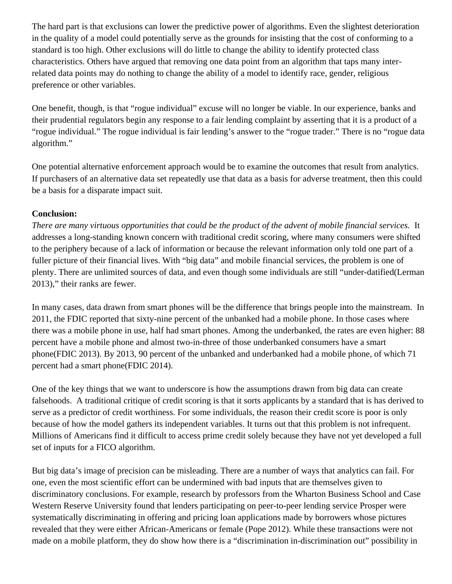The hard part is that exclusions can lower the predictive power of algorithms. Even the slightest deterioration in the quality of a model could potentially serve as the grounds for insisting that the cost of conforming to a standard is too high. Other exclusions will do little to change the ability to identify protected class characteristics. Others have argued that removing one data point from an algorithm that taps many interrelated data points may do nothing to change the ability of a model to identify race, gender, religious preference or other variables.

One benefit, though, is that "rogue individual" excuse will no longer be viable. In our experience, banks and their prudential regulators begin any response to a fair lending complaint by asserting that it is a product of a "rogue individual." The rogue individual is fair lending's answer to the "rogue trader." There is no "rogue data algorithm."

One potential alternative enforcement approach would be to examine the outcomes that result from analytics. If purchasers of an alternative data set repeatedly use that data as a basis for adverse treatment, then this could be a basis for a disparate impact suit.

# **Conclusion:**

*There are many virtuous opportunities that could be the product of the advent of mobile financial services.* It addresses a long-standing known concern with traditional credit scoring, where many consumers were shifted to the periphery because of a lack of information or because the relevant information only told one part of a fuller picture of their financial lives. With "big data" and mobile financial services, the problem is one of plenty. There are unlimited sources of data, and even though some individuals are still "under-datified(Lerman 2013)," their ranks are fewer.

In many cases, data drawn from smart phones will be the difference that brings people into the mainstream. In 2011, the FDIC reported that sixty-nine percent of the unbanked had a mobile phone. In those cases where there was a mobile phone in use, half had smart phones. Among the underbanked, the rates are even higher: 88 percent have a mobile phone and almost two-in-three of those underbanked consumers have a smart phone(FDIC 2013). By 2013, 90 percent of the unbanked and underbanked had a mobile phone, of which 71 percent had a smart phone(FDIC 2014).

One of the key things that we want to underscore is how the assumptions drawn from big data can create falsehoods. A traditional critique of credit scoring is that it sorts applicants by a standard that is has derived to serve as a predictor of credit worthiness. For some individuals, the reason their credit score is poor is only because of how the model gathers its independent variables. It turns out that this problem is not infrequent. Millions of Americans find it difficult to access prime credit solely because they have not yet developed a full set of inputs for a FICO algorithm.

But big data's image of precision can be misleading. There are a number of ways that analytics can fail. For one, even the most scientific effort can be undermined with bad inputs that are themselves given to discriminatory conclusions. For example, research by professors from the Wharton Business School and Case Western Reserve University found that lenders participating on peer-to-peer lending service Prosper were systematically discriminating in offering and pricing loan applications made by borrowers whose pictures revealed that they were either African-Americans or female (Pope 2012). While these transactions were not made on a mobile platform, they do show how there is a "discrimination in-discrimination out" possibility in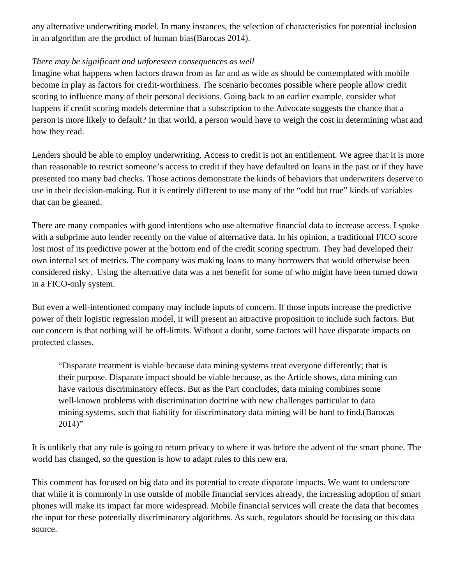any alternative underwriting model. In many instances, the selection of characteristics for potential inclusion in an algorithm are the product of human bias(Barocas 2014).

## *There may be significant and unforeseen consequences as well*

Imagine what happens when factors drawn from as far and as wide as should be contemplated with mobile become in play as factors for credit-worthiness. The scenario becomes possible where people allow credit scoring to influence many of their personal decisions. Going back to an earlier example, consider what happens if credit scoring models determine that a subscription to the Advocate suggests the chance that a person is more likely to default? In that world, a person would have to weigh the cost in determining what and how they read.

Lenders should be able to employ underwriting. Access to credit is not an entitlement. We agree that it is more than reasonable to restrict someone's access to credit if they have defaulted on loans in the past or if they have presented too many bad checks. Those actions demonstrate the kinds of behaviors that underwriters deserve to use in their decision-making. But it is entirely different to use many of the "odd but true" kinds of variables that can be gleaned.

There are many companies with good intentions who use alternative financial data to increase access. I spoke with a subprime auto lender recently on the value of alternative data. In his opinion, a traditional FICO score lost most of its predictive power at the bottom end of the credit scoring spectrum. They had developed their own internal set of metrics. The company was making loans to many borrowers that would otherwise been considered risky. Using the alternative data was a net benefit for some of who might have been turned down in a FICO-only system.

But even a well-intentioned company may include inputs of concern. If those inputs increase the predictive power of their logistic regression model, it will present an attractive proposition to include such factors. But our concern is that nothing will be off-limits. Without a doubt, some factors will have disparate impacts on protected classes.

"Disparate treatment is viable because data mining systems treat everyone differently; that is their purpose. Disparate impact should be viable because, as the Article shows, data mining can have various discriminatory effects. But as the Part concludes, data mining combines some well-known problems with discrimination doctrine with new challenges particular to data mining systems, such that liability for discriminatory data mining will be hard to find.(Barocas  $2014$ "

It is unlikely that any rule is going to return privacy to where it was before the advent of the smart phone. The world has changed, so the question is how to adapt rules to this new era.

This comment has focused on big data and its potential to create disparate impacts. We want to underscore that while it is commonly in use outside of mobile financial services already, the increasing adoption of smart phones will make its impact far more widespread. Mobile financial services will create the data that becomes the input for these potentially discriminatory algorithms. As such, regulators should be focusing on this data source.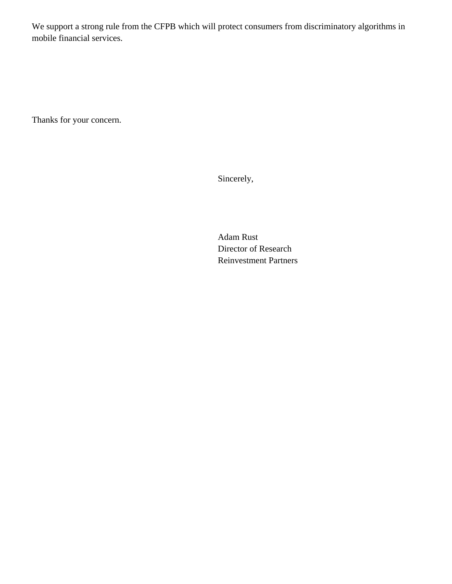We support a strong rule from the CFPB which will protect consumers from discriminatory algorithms in mobile financial services.

Thanks for your concern.

Sincerely,

Adam Rust Director of Research Reinvestment Partners